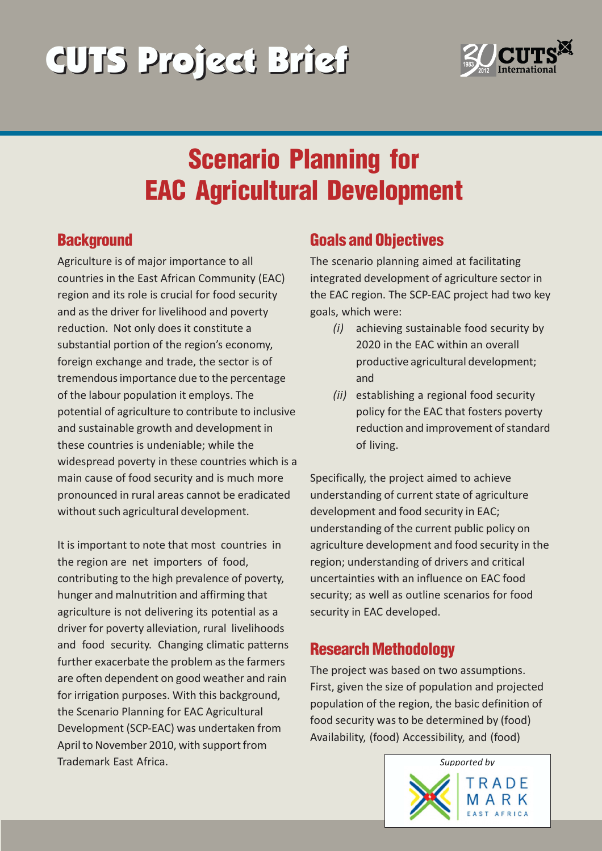# CUTS Project Brief CUTS Project Brief



# Scenario Planning for EAC Agricultural Development

#### **Background**

Agriculture is of major importance to all countries in the East African Community (EAC) region and its role is crucial for food security and as the driver for livelihood and poverty reduction. Not only does it constitute a substantial portion of the region's economy, foreign exchange and trade, the sector is of tremendous importance due to the percentage of the labour population it employs. The potential of agriculture to contribute to inclusive and sustainable growth and development in these countries is undeniable; while the widespread poverty in these countries which is a main cause of food security and is much more pronounced in rural areas cannot be eradicated without such agricultural development.

It is important to note that most countries in the region are net importers of food, contributing to the high prevalence of poverty, hunger and malnutrition and affirming that agriculture is not delivering its potential as a driver for poverty alleviation, rural livelihoods and food security. Changing climatic patterns further exacerbate the problem as the farmers are often dependent on good weather and rain for irrigation purposes. With this background, the Scenario Planning for EAC Agricultural Development (SCP-EAC) was undertaken from April to November 2010, with support from Trademark East Africa.

## Goals and Objectives

The scenario planning aimed at facilitating integrated development of agriculture sector in the EAC region. The SCP-EAC project had two key goals, which were:

- *(i)* achieving sustainable food security by 2020 in the EAC within an overall productive agricultural development; and
- *(ii)* establishing a regional food security policy for the EAC that fosters poverty reduction and improvement of standard of living.

Specifically, the project aimed to achieve understanding of current state of agriculture development and food security in EAC; understanding of the current public policy on agriculture development and food security in the region; understanding of drivers and critical uncertainties with an influence on EAC food security; as well as outline scenarios for food security in EAC developed.

### Research Methodology

The project was based on two assumptions. First, given the size of population and projected population of the region, the basic definition of food security was to be determined by (food) Availability, (food) Accessibility, and (food)